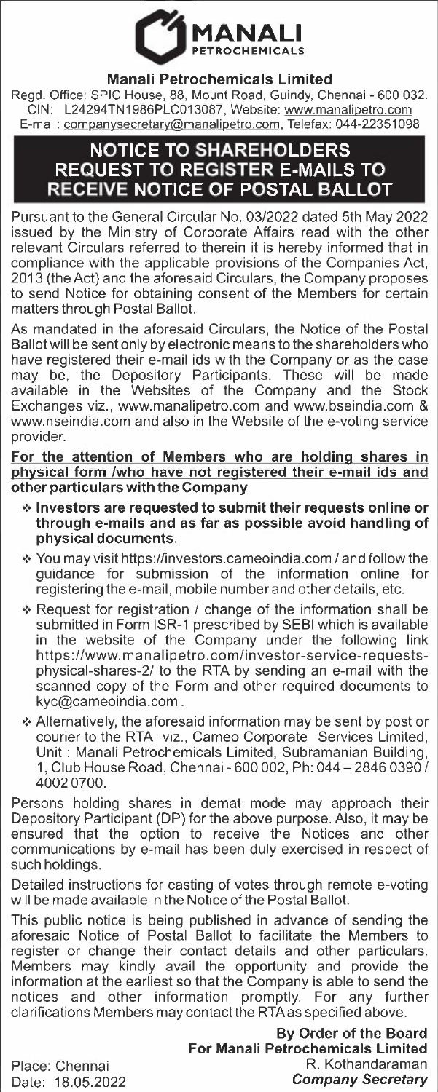

## **Manali Petrochemicals Limited**

Regd. Office: SPIC House, 88, Mount Road, Guindy, Chennai - 600 032. GIN: L24294TN1986PLC013087, Website: www.manalipetro.com E-mail: companysecretary@manalipetro.com, Telefax: 044-22351098

## **NOTICE TO SHAREHOLDERS REQUEST TO REGISTER E-MAILS TO RECEIVE NOTICE OF POSTAL BALLOT**

Pursuant to the General Circular No. 03/2022 dated 5th May 2022 issued by the Ministry of Corporate Affairs read with the other relevant Circulars referred to therein it is hereby informed that in compliance with the applicable provisions of the Companies Act, 2013 (the Act) and the aforesaid Circulars, the Company proposes to send Notice for obtaining consent of the Members for certain matters through Postal Ballot.

As mandated in the aforesaid Circulars, the Notice of the Postal Ballot will be sent only by electronic means to the shareholders who have registered their e-mail ids with the Company or as the case may be, the Depository Participants. These will be made available in the Websites of the Company and the Stock Exchanges viz., www.manalipetro.com and www.bseindia.com & www.nseindia.com and also in the Website of the e-voting service provider.

**For the attention of Members who are holding shares in physical form /who have not registered their e-mail ids and other particulars with the Company** 

- **•:• Investors are requested to submit their requests online or through e-mails and as far as possible avoid handling of physical documents.**
- •:• You may visit https://investors.cameoindia.com / and follow the guidance for submission of the information online for registering the e-mail, mobile number and other details, etc.
- *·=·* Request for registration / change of the information shall be submitted in Form ISR-1 prescribed by SEBI which is available in the website of the Company under the following link https://www.manalipetro.com/investor-service-requestsphysical-shares-2/ to the RTA by sending an e-mail with the scanned copy of the Form and other required documents to kyc@cameoindia.com.
- •!• Alternatively, the aforesaid information may be sent by post or courier to the RTA viz., Cameo Corporate Services Limited, Unit : Manali Petrochemicals Limited, Subramanian Building, 1, Club House Road, Chennai- 600 002, Ph: 044-2846 0390 / 40020700.

Persons holding shares in demat mode may approach their Depository Participant (DP) for the above purpose. Also, it may be ensured that the option to receive the Notices and other communications by e-mail has been duly exercised in respect of such holdings.

Detailed instructions for casting of votes through remote e-voting will be made available in the Notice of the Postal Ballot.

This public notice is being published in advance of sending the aforesaid Notice of Postal Ballot to facilitate the Members to register or change their contact details and other particulars. Members may kindly avail the opportunity and provide the information at the earliest so that the Company is able to send the notices and other information promptly. For any further clarifications Members may contact the RTAas specified above.

> **By Order of the Board For Manali Petrochemicals Limited**  R. Kothandaraman *Company Secretary*

Place: Chennai Date: 18.05.2022